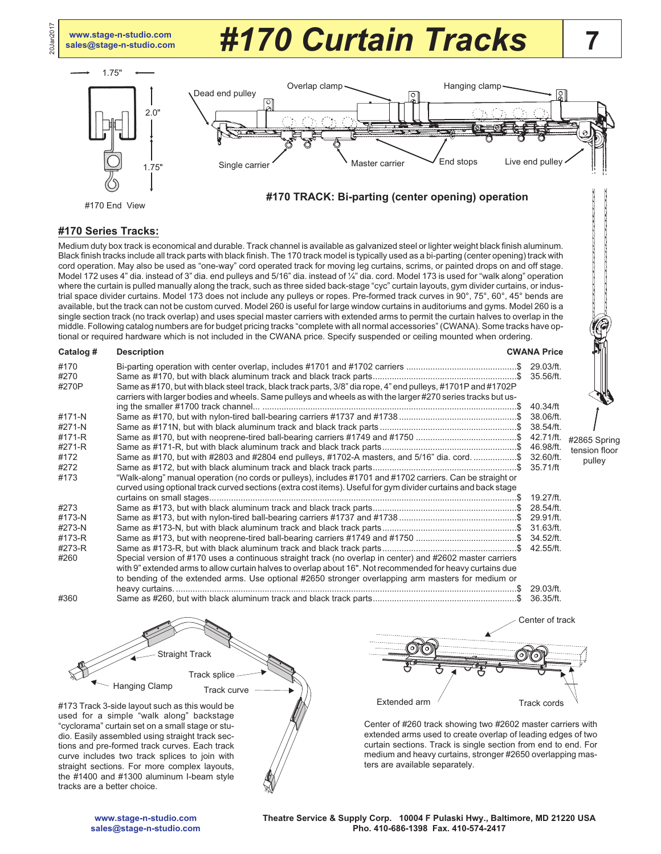**[www.stage-n-studio.com](http://www.stage-n-studio.com)**

20Jan2017

## **[sales@stage-n-studio.com](mailto:sales@stage-n-studio.com)** *#170 Curtain Tracks*



#### **#170 Series Tracks:**

Medium duty box track is economical and durable. Track channel is available as galvanized steel or lighter weight black finish aluminum. Black finish tracks include all track parts with black finish. The 170 track model is typically used as a bi-parting (center opening) track with cord operation. May also be used as "one-way" cord operated track for moving leg curtains, scrims, or painted drops on and off stage. Model 172 uses 4" dia. instead of 3" dia. end pulleys and 5/16" dia. instead of ¼" dia. cord. Model 173 is used for "walk along" operation where the curtain is pulled manually along the track, such as three sided back-stage "cyc" curtain layouts, gym divider curtains, or industrial space divider curtains. Model 173 does not include any pulleys or ropes. Pre-formed track curves in 90°, 75°, 60°, 45° bends are available, but the track can not be custom curved. Model 260 is useful for large window curtains in auditoriums and gyms. Model 260 is a single section track (no track overlap) and uses special master carriers with extended arms to permit the curtain halves to overlap in the middle. Following catalog numbers are for budget pricing tracks "complete with all normal accessories" (CWANA). Some tracks have optional or required hardware which is not included in the CWANA price. Specify suspended or ceiling mounted when ordering.

| Catalog #             | <b>Description</b>                                                                                                                                                                                                             | <b>CWANA Price</b> |       |
|-----------------------|--------------------------------------------------------------------------------------------------------------------------------------------------------------------------------------------------------------------------------|--------------------|-------|
| #170<br>#270<br>#270P | Same as #170, but with black steel track, black track parts, 3/8" dia rope, 4" end pulleys, #1701P and #1702P<br>carriers with larger bodies and wheels. Same pulleys and wheels as with the larger #270 series tracks but us- |                    |       |
|                       |                                                                                                                                                                                                                                | 40.34/ft           |       |
| #171-N                |                                                                                                                                                                                                                                | 38.06/ft.          |       |
| #271-N                |                                                                                                                                                                                                                                | 38.54/ft.          |       |
| #171-R                |                                                                                                                                                                                                                                |                    | #2865 |
| #271-R                |                                                                                                                                                                                                                                | 46.98/ft.          | tensi |
| #172                  | Same as #170, but with #2803 and #2804 end pulleys, #1702-A masters, and 5/16" dia. cord. \$ 32.60/ft.                                                                                                                         |                    | pι    |
| #272                  |                                                                                                                                                                                                                                |                    |       |
| #173                  | "Walk-along" manual operation (no cords or pulleys), includes #1701 and #1702 carriers. Can be straight or                                                                                                                     |                    |       |
|                       | curved using optional track curved sections (extra cost items). Useful for gym divider curtains and back stage                                                                                                                 |                    |       |
|                       |                                                                                                                                                                                                                                | 19.27/ft.          |       |
| #273                  |                                                                                                                                                                                                                                | 28.54/ft.          |       |
| #173-N                |                                                                                                                                                                                                                                | 29.91/ft.          |       |
| #273-N                |                                                                                                                                                                                                                                | 31.63/ft.          |       |
| #173-R                | Same as #173, but with neoprene-tired ball-bearing carriers #1749 and #1750 \$                                                                                                                                                 | 34.52/ft.          |       |
| #273-R                |                                                                                                                                                                                                                                | 42.55/ft.          |       |
| #260                  | Special version of #170 uses a continuous straight track (no overlap in center) and #2602 master carriers<br>with 9" extended arms to allow curtain halves to overlap about 16". Not recommended for heavy curtains due        |                    |       |
|                       | to bending of the extended arms. Use optional #2650 stronger overlapping arm masters for medium or                                                                                                                             |                    |       |
|                       |                                                                                                                                                                                                                                | 29.03/ft.          |       |
| #360                  |                                                                                                                                                                                                                                | 36.35/ft.          |       |

5 Spring on floor ulley

Center of track

**7**

**[www.stage-n-studio.com](http://www.stage-n-studio.com) [sales@stage-n-studio.com](mailto:sales@stage-n-studio.com)**

tracks are a better choice.

Hanging Clamp

#173 Track 3-side layout such as this would be used for a simple "walk along" backstage "cyclorama" curtain set on a small stage or studio. Easily assembled using straight track sections and pre-formed track curves. Each track curve includes two track splices to join with straight sections. For more complex layouts, the #1400 and #1300 aluminum I-beam style

Track curve Track splice

Straight Track

ters are available separately.

Center of #260 track showing two #2602 master carriers with extended arms used to create overlap of leading edges of two curtain sections. Track is single section from end to end. For medium and heavy curtains, stronger #2650 overlapping mas-

Extended arm  $\frac{1}{2}$  Track cords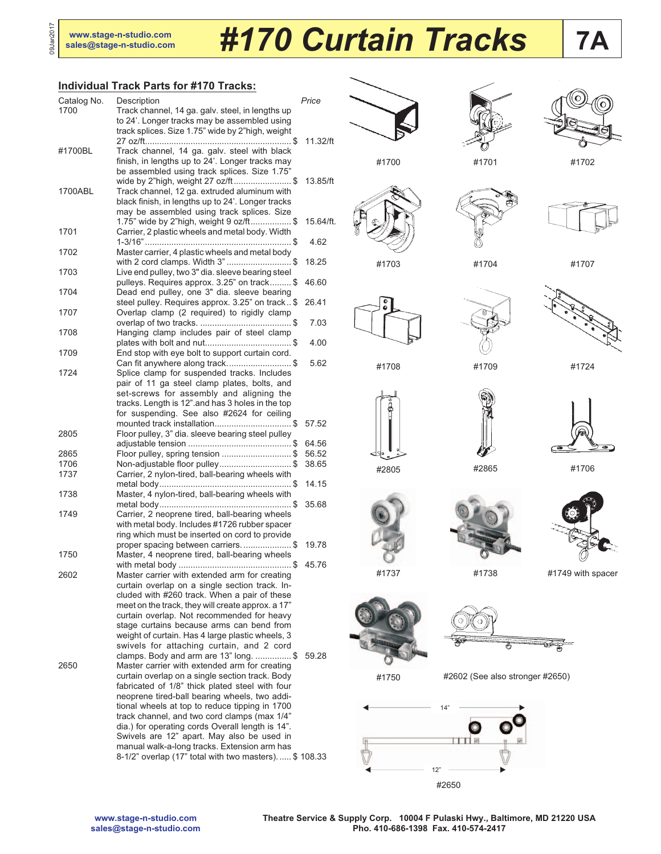09Jan2017

# **[sales@stage-n-studio.com](mailto:sales@stage-n-studio.com)** *#170 Curtain Tracks*

#### **Individual Track Parts for #170 Tracks:**

| Catalog No.  | Description                                                                                     | Price     |
|--------------|-------------------------------------------------------------------------------------------------|-----------|
| 1700         | Track channel, 14 ga. galv. steel, in lengths up                                                |           |
|              | to 24'. Longer tracks may be assembled using                                                    |           |
|              | track splices. Size 1.75" wide by 2"high, weight                                                |           |
|              |                                                                                                 | 11.32/ft  |
| #1700BL      | Track channel, 14 ga. galv. steel with black                                                    |           |
|              | finish, in lengths up to 24'. Longer tracks may<br>be assembled using track splices. Size 1.75" |           |
|              | wide by 2"high, weight 27 oz/ft\$                                                               | 13.85/ft  |
| 1700ABL      | Track channel, 12 ga. extruded aluminum with                                                    |           |
|              | black finish, in lengths up to 24'. Longer tracks                                               |           |
|              | may be assembled using track splices. Size                                                      |           |
|              | 1.75" wide by 2"high, weight 9 oz/ft\$                                                          | 15.64/ft. |
| 1701         | Carrier, 2 plastic wheels and metal body. Width                                                 |           |
|              |                                                                                                 | 4.62      |
| 1702         | Master carrier, 4 plastic wheels and metal body                                                 |           |
|              | with 2 cord clamps. Width 3"\$                                                                  | 18.25     |
| 1703         | Live end pulley, two 3" dia. sleeve bearing steel                                               |           |
|              | pulleys. Requires approx. 3.25" on track \$                                                     | 46.60     |
| 1704         | Dead end pulley, one 3" dia. sleeve bearing                                                     |           |
|              | steel pulley. Requires approx. 3.25" on track \$                                                | 26.41     |
| 1707         | Overlap clamp (2 required) to rigidly clamp                                                     |           |
| 1708         | Hanging clamp includes pair of steel clamp                                                      | 7.03      |
|              |                                                                                                 | 4.00      |
| 1709         | End stop with eye bolt to support curtain cord.                                                 |           |
|              | Can fit anywhere along track\$                                                                  | 5.62      |
| 1724         | Splice clamp for suspended tracks. Includes                                                     |           |
|              | pair of 11 ga steel clamp plates, bolts, and                                                    |           |
|              | set-screws for assembly and aligning the                                                        |           |
|              | tracks. Length is 12" and has 3 holes in the top                                                |           |
|              | for suspending. See also #2624 for ceiling                                                      |           |
|              | mounted track installation\$                                                                    | 57.52     |
| 2805         | Floor pulley, 3" dia. sleeve bearing steel pulley                                               |           |
|              |                                                                                                 | 64.56     |
| 2865<br>1706 | Floor pulley, spring tension \$                                                                 | 56.52     |
| 1737         | Non-adjustable floor pulley\$<br>Carrier, 2 nylon-tired, ball-bearing wheels with               | 38.65     |
|              |                                                                                                 | 14.15     |
| 1738         | Master, 4 nylon-tired, ball-bearing wheels with                                                 |           |
|              |                                                                                                 | 35.68     |
| 1749         | Carrier, 2 neoprene tired, ball-bearing wheels                                                  |           |
|              | with metal body. Includes #1726 rubber spacer                                                   |           |
|              | ring which must be inserted on cord to provide                                                  |           |
|              | proper spacing between carriers\$                                                               | 19.78     |
| 1750         | Master, 4 neoprene tired, ball-bearing wheels                                                   |           |
|              |                                                                                                 | 45.76     |
| 2602         | Master carrier with extended arm for creating                                                   |           |
|              | curtain overlap on a single section track. In-                                                  |           |
|              | cluded with #260 track. When a pair of these                                                    |           |
|              | meet on the track, they will create approx. a 17"<br>curtain overlap. Not recommended for heavy |           |
|              | stage curtains because arms can bend from                                                       |           |
|              | weight of curtain. Has 4 large plastic wheels, 3                                                |           |
|              | swivels for attaching curtain, and 2 cord                                                       |           |
|              | clamps. Body and arm are 13" long. \$                                                           | 59.28     |
| 2650         | Master carrier with extended arm for creating                                                   |           |
|              | curtain overlap on a single section track. Body                                                 |           |
|              | fabricated of 1/8" thick plated steel with four                                                 |           |
|              | neoprene tired-ball bearing wheels, two addi-                                                   |           |
|              | tional wheels at top to reduce tipping in 1700                                                  |           |
|              | track channel, and two cord clamps (max 1/4"                                                    |           |
|              | dia.) for operating cords Overall length is 14".                                                |           |
|              | Swivels are 12" apart. May also be used in<br>manual walk-a-long tracks. Extension arm has      |           |
|              | 8-1/2" overlap (17" total with two masters).  \$ 108.33                                         |           |
|              |                                                                                                 |           |







**7A**

#1701 #1702







#1703 #1704 #1707







#1708 #1709 #1724







#2805

ä

#2865 #1706





#1737 #1738 #1749 with spacer



 $\frac{1}{2}$ Ë

#1750

#2602 (See also stronger #2650)



**[www.stage-n-studio.com](http://www.stage-n-studio.com) [sales@stage-n-studio.com](mailto:sales@stage-n-studio.com)** **Theatre Service & Supply Corp. 10004 F Pulaski Hwy., Baltimore, MD 21220 USA Pho. 410-686-1398 Fax. 410-574-2417**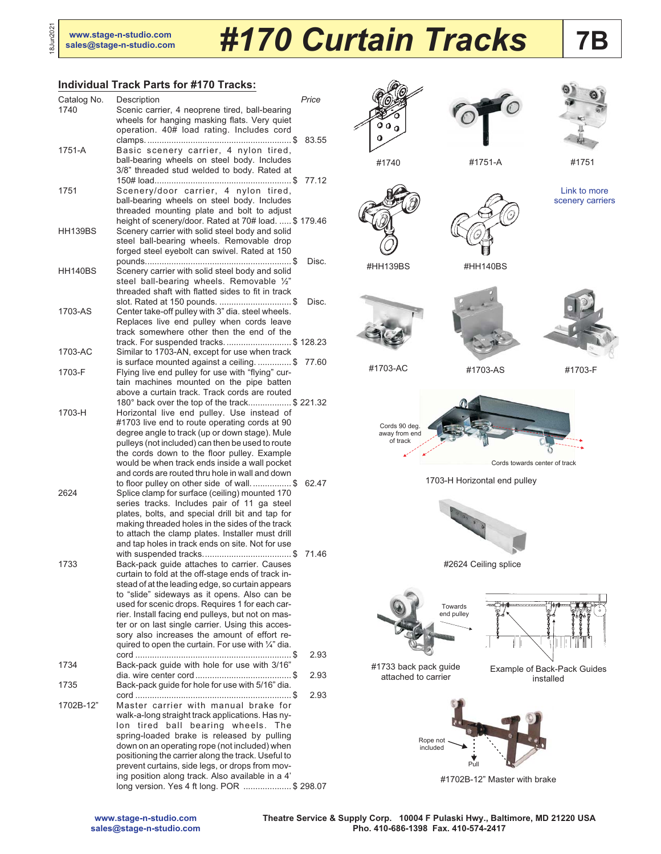18Jun2021

18Jun2021

# **7B [www.stage-n-studio.com](http://www.stage-n-studio.com) [sales@stage-n-studio.com](mailto:sales@stage-n-studio.com)** *#170 Curtain Tracks*

### **Individual Track Parts for #170 Tracks:**

| Catalog No.<br>1740 | Description<br>Scenic carrier, 4 neoprene tired, ball-bearing<br>wheels for hanging masking flats. Very quiet                                                                                                                                                                                                                                                                                                            | Price |
|---------------------|--------------------------------------------------------------------------------------------------------------------------------------------------------------------------------------------------------------------------------------------------------------------------------------------------------------------------------------------------------------------------------------------------------------------------|-------|
| 1751-A              | operation. 40# load rating. Includes cord<br>Basic scenery carrier, 4 nylon tired,                                                                                                                                                                                                                                                                                                                                       | 83.55 |
|                     | ball-bearing wheels on steel body. Includes<br>3/8" threaded stud welded to body. Rated at                                                                                                                                                                                                                                                                                                                               | 77.12 |
| 1751                | Scenery/door carrier, 4 nylon tired,<br>ball-bearing wheels on steel body. Includes<br>threaded mounting plate and bolt to adjust                                                                                                                                                                                                                                                                                        |       |
| HH139BS             | height of scenery/door. Rated at 70# load.  \$179.46<br>Scenery carrier with solid steel body and solid<br>steel ball-bearing wheels. Removable drop<br>forged steel eyebolt can swivel. Rated at 150                                                                                                                                                                                                                    |       |
| HH140BS             | Scenery carrier with solid steel body and solid<br>steel ball-bearing wheels. Removable 1/2"                                                                                                                                                                                                                                                                                                                             | Disc. |
| 1703-AS             | threaded shaft with flatted sides to fit in track<br>slot. Rated at 150 pounds.  \$<br>Center take-off pulley with 3" dia. steel wheels.<br>Replaces live end pulley when cords leave<br>track somewhere other then the end of the                                                                                                                                                                                       | Disc. |
| 1703-AC             | track. For suspended tracks\$ 128.23<br>Similar to 1703-AN, except for use when track                                                                                                                                                                                                                                                                                                                                    |       |
| 1703-F              | is surface mounted against a ceiling\$<br>Flying live end pulley for use with "flying" cur-<br>tain machines mounted on the pipe batten                                                                                                                                                                                                                                                                                  | 77.60 |
| 1703-H              | above a curtain track. Track cords are routed<br>180° back over the top of the track\$ 221.32<br>Horizontal live end pulley. Use instead of<br>#1703 live end to route operating cords at 90                                                                                                                                                                                                                             |       |
|                     | degree angle to track (up or down stage). Mule<br>pulleys (not included) can then be used to route<br>the cords down to the floor pulley. Example<br>would be when track ends inside a wall pocket<br>and cords are routed thru hole in wall and down                                                                                                                                                                    |       |
| 2624                | to floor pulley on other side of wall\$<br>Splice clamp for surface (ceiling) mounted 170<br>series tracks. Includes pair of 11 ga steel<br>plates, bolts, and special drill bit and tap for<br>making threaded holes in the sides of the track<br>to attach the clamp plates. Installer must drill                                                                                                                      | 62.47 |
| 1733                | and tap holes in track ends on site. Not for use<br>Back-pack guide attaches to carrier. Causes                                                                                                                                                                                                                                                                                                                          | 71.46 |
|                     | curtain to fold at the off-stage ends of track in-<br>stead of at the leading edge, so curtain appears<br>to "slide" sideways as it opens. Also can be<br>used for scenic drops. Requires 1 for each car-<br>rier. Install facing end pulleys, but not on mas-<br>ter or on last single carrier. Using this acces-<br>sory also increases the amount of effort re-<br>quired to open the curtain. For use with 1/4" dia. |       |
| 1734                | Back-pack guide with hole for use with 3/16"                                                                                                                                                                                                                                                                                                                                                                             | 2.93  |
| 1735                | Back-pack guide for hole for use with 5/16" dia.                                                                                                                                                                                                                                                                                                                                                                         | 2.93  |
| 1702B-12"           | Master carrier with manual brake for<br>walk-a-long straight track applications. Has ny-<br>lon tired ball bearing wheels. The<br>spring-loaded brake is released by pulling<br>down on an operating rope (not included) when<br>positioning the carrier along the track. Useful to<br>prevent curtains, side legs, or drops from mov-<br>ing position along track. Also available in a 4'                               | 2.93  |
|                     | long version. Yes 4 ft long. POR  \$ 298.07                                                                                                                                                                                                                                                                                                                                                                              |       |







#1740 #1751-A #1751

[Link to more](http://www.stage-n-studio.com/Cat16_PDF%20pages/Cat16-11-Scenery_Carriers_1-4.pdf) [scenery carriers](http://www.stage-n-studio.com/Cat16_PDF%20pages/Cat16-11-Scenery_Carriers_1-4.pdf)









#1703-AC #1703-AS #1703-F



1703-H Horizontal end pulley



#2624 Ceiling splice







#1702B-12" Master with brake

attached to carrier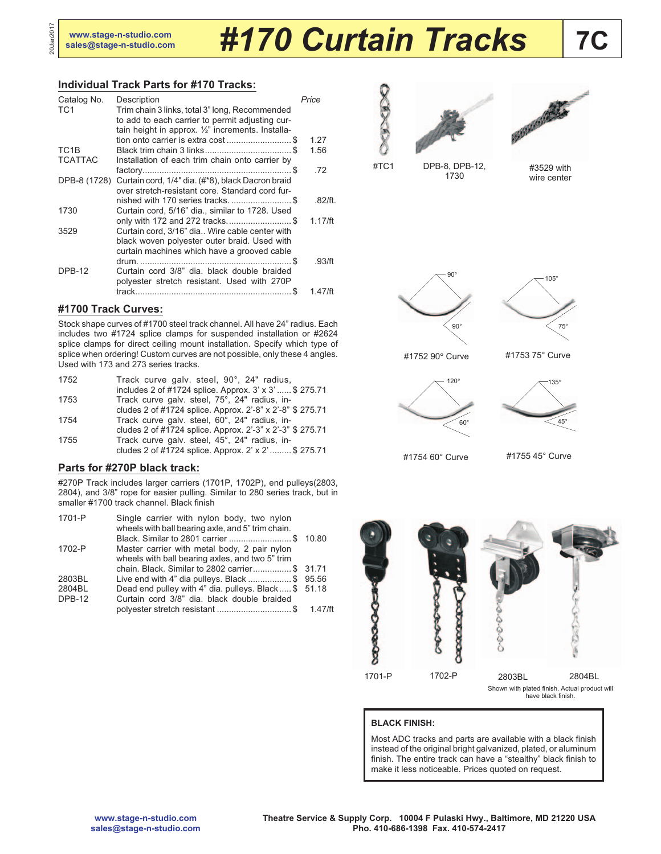20Jan2017

# **7C [www.stage-n-studio.com](http://www.stage-n-studio.com) [sales@stage-n-studio.com](mailto:sales@stage-n-studio.com)** *#170 Curtain Tracks*

## **Individual Track Parts for #170 Tracks:**

| Catalog No.       | Description                                                                                          | Price      |
|-------------------|------------------------------------------------------------------------------------------------------|------------|
| TC <sub>1</sub>   | Trim chain 3 links, total 3" long, Recommended                                                       |            |
|                   | to add to each carrier to permit adjusting cur-<br>tain height in approx. 1/2" increments. Installa- |            |
|                   |                                                                                                      | 1.27       |
| TC <sub>1</sub> B |                                                                                                      | 1.56       |
| <b>TCATTAC</b>    | Installation of each trim chain onto carrier by                                                      |            |
|                   |                                                                                                      | .72        |
| DPB-8 (1728)      | Curtain cord, 1/4" dia. (#*8), black Dacron braid                                                    |            |
|                   | over stretch-resistant core. Standard cord fur-                                                      |            |
|                   | nished with 170 series tracks\$                                                                      | $.82$ /ft. |
| 1730              | Curtain cord, 5/16" dia., similar to 1728. Used<br>only with 172 and 272 tracks\$                    | 1.17/ft    |
| 3529              | Curtain cord, 3/16" dia Wire cable center with                                                       |            |
|                   | black woven polyester outer braid. Used with                                                         |            |
|                   | curtain machines which have a grooved cable                                                          |            |
|                   |                                                                                                      | .93/ft     |
| <b>DPB-12</b>     | Curtain cord 3/8" dia. black double braided                                                          |            |
|                   | polyester stretch resistant. Used with 270P                                                          |            |
|                   | track.                                                                                               | 1 47/ft    |
|                   |                                                                                                      |            |

## **#1700 Track Curves:**

Stock shape curves of #1700 steel track channel. All have 24" radius. Each includes two #1724 splice clamps for suspended installation or #2624 splice clamps for direct ceiling mount installation. Specify which type of splice when ordering! Custom curves are not possible, only these 4 angles. Used with 173 and 273 series tracks.

| 1752 | Track curve galv. steel, 90°, 24" radius,<br>includes 2 of #1724 splice. Approx. 3' x 3'  \$ 275.71 |
|------|-----------------------------------------------------------------------------------------------------|
| 1753 | Track curve galv. steel, 75°, 24" radius, in-                                                       |
|      | cludes 2 of #1724 splice. Approx. 2'-8" x 2'-8" \$ 275.71                                           |
| 1754 | Track curve galv. steel, 60°, 24" radius, in-                                                       |
|      | cludes 2 of #1724 splice. Approx. 2'-3" x 2'-3" \$ 275.71                                           |
| 1755 | Track curve galv. steel, 45°, 24" radius, in-                                                       |
|      | cludes 2 of #1724 splice. Approx. 2' x 2'  \$ 275.71                                                |

## **Parts for #270P black track:**

#270P Track includes larger carriers (1701P, 1702P), end pulleys(2803, 2804), and 3/8" rope for easier pulling. Similar to 280 series track, but in smaller #1700 track channel. Black finish

| Black. Similar to 2801 carrier \$ 10.80              |
|------------------------------------------------------|
|                                                      |
|                                                      |
| chain. Black. Similar to 2802 carrier\$ 31.71        |
| Live end with 4" dia pulleys. Black \$ 95.56         |
| Dead end pulley with 4" dia. pulleys. Black \$ 51.18 |
|                                                      |
| 1.47/ft                                              |
|                                                      |





1730

#3529 with wire center

75°



#1752 90° Curve



#1754 60° Curve

#1755 45° Curve



#### **BLACK FINISH:**

Most ADC tracks and parts are available with a black finish instead of the original bright galvanized, plated, or aluminum finish. The entire track can have a "stealthy" black finish to make it less noticeable. Prices quoted on request.